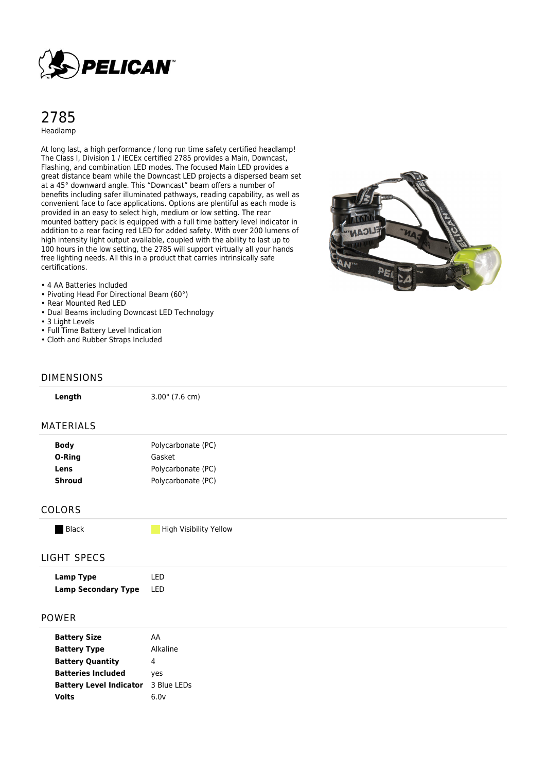

## 2785 Headlamp

At long last, a high performance / long run time safety certified headlamp! The Class I, Division 1 / IECEx certified 2785 provides a Main, Downcast, Flashing, and combination LED modes. The focused Main LED provides a great distance beam while the Downcast LED projects a dispersed beam set at a 45° downward angle. This "Downcast" beam offers a number of benefits including safer illuminated pathways, reading capability, as well as convenient face to face applications. Options are plentiful as each mode is provided in an easy to select high, medium or low setting. The rear mounted battery pack is equipped with a full time battery level indicator in addition to a rear facing red LED for added safety. With over 200 lumens of high intensity light output available, coupled with the ability to last up to 100 hours in the low setting, the 2785 will support virtually all your hands free lighting needs. All this in a product that carries intrinsically safe certifications.



#### • 4 AA Batteries Included

- Pivoting Head For Directional Beam (60°)
- Rear Mounted Red LED
- Dual Beams including Downcast LED Technology

**Lens** Polycarbonate (PC) **Shroud** Polycarbonate (PC)

- 3 Light Levels
- Full Time Battery Level Indication
- Cloth and Rubber Straps Included

#### DIMENSIONS

| Length      | $3.00$ " (7.6 cm)  |  |
|-------------|--------------------|--|
| MATERIALS   |                    |  |
| <b>Body</b> | Polycarbonate (PC) |  |
| O-Ring      | Gasket             |  |

| <b>COLORS</b> |  |  |
|---------------|--|--|
|---------------|--|--|

Black **High Visibility Yellow** 

### LIGHT SPECS

| Lamp Type                  | I FD |
|----------------------------|------|
| <b>Lamp Secondary Type</b> | LED  |

#### POWER

| <b>Battery Size</b>            | АΑ          |  |
|--------------------------------|-------------|--|
| <b>Battery Type</b>            | Alkaline    |  |
| <b>Battery Quantity</b>        | 4           |  |
| <b>Batteries Included</b>      | yes         |  |
| <b>Battery Level Indicator</b> | 3 Blue LEDs |  |
| <b>Volts</b>                   | 6.0v        |  |